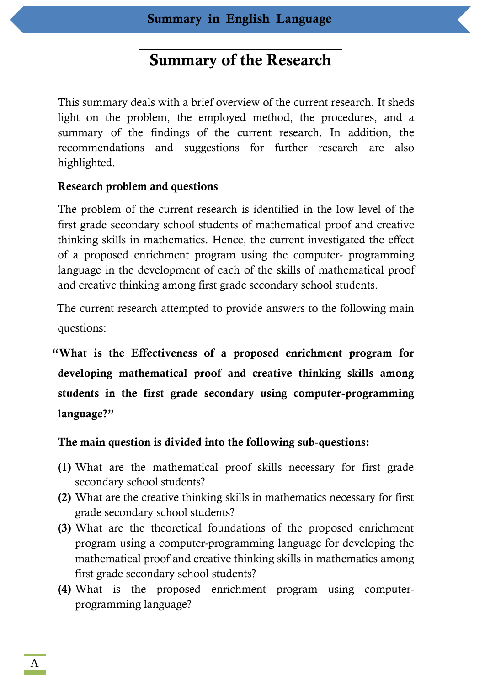# **Summary of the Research**

This summary deals with a brief overview of the current research. It sheds light on the problem, the employed method, the procedures, and a summary of the findings of the current research. In addition, the recommendations and suggestions for further research are also highlighted.

## **Research problem and questions**

The problem of the current research is identified in the low level of the first grade secondary school students of mathematical proof and creative thinking skills in mathematics. Hence, the current investigated the effect of a proposed enrichment program using the computer- programming language in the development of each of the skills of mathematical proof and creative thinking among first grade secondary school students.

The current research attempted to provide answers to the following main questions:

**"What is the Effectiveness of a proposed enrichment program for developing mathematical proof and creative thinking skills among students in the first grade secondary using computer-programming language?"**

**The main question is divided into the following sub-questions:**

- **(1)** What are the mathematical proof skills necessary for first grade secondary school students?
- **(2)** What are the creative thinking skills in mathematics necessary for first grade secondary school students?
- **(3)** What are the theoretical foundations of the proposed enrichment program using a computer-programming language for developing the mathematical proof and creative thinking skills in mathematics among first grade secondary school students?
- **(4)** What is the proposed enrichment program using computerprogramming language?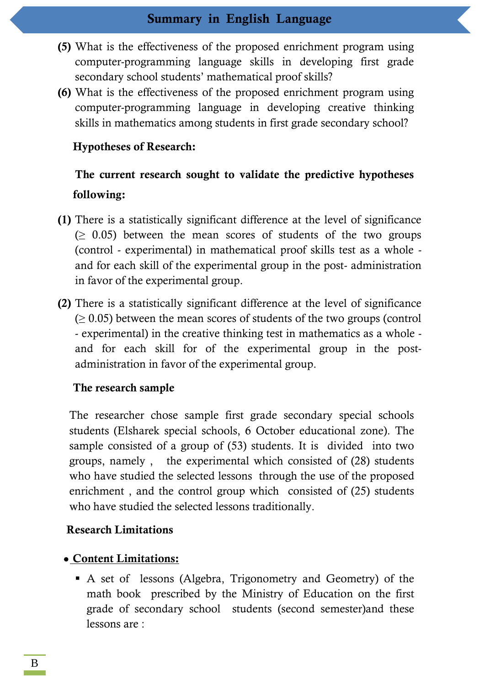- **(5)** What is the effectiveness of the proposed enrichment program using computer-programming language skills in developing first grade secondary school students' mathematical proof skills?
- **(6)** What is the effectiveness of the proposed enrichment program using computer-programming language in developing creative thinking skills in mathematics among students in first grade secondary school?

## **Hypotheses of Research:**

# **The current research sought to validate the predictive hypotheses following:**

- **(1)** There is a statistically significant difference at the level of significance  $(≥ 0.05)$  between the mean scores of students of the two groups (control - experimental) in mathematical proof skills test as a whole and for each skill of the experimental group in the post- administration in favor of the experimental group.
- **(2)** There is a statistically significant difference at the level of significance  $(≥ 0.05)$  between the mean scores of students of the two groups (control - experimental) in the creative thinking test in mathematics as a whole and for each skill for of the experimental group in the postadministration in favor of the experimental group.

## **The research sample**

The researcher chose sample first grade secondary special schools students (Elsharek special schools, 6 October educational zone). The sample consisted of a group of (53) students. It is divided into two groups, namely , the experimental which consisted of (28) students who have studied the selected lessons through the use of the proposed enrichment , and the control group which consisted of (25) students who have studied the selected lessons traditionally.

## **Research Limitations**

## **Content Limitations:**

 A set of lessons (Algebra, Trigonometry and Geometry) of the math book prescribed by the Ministry of Education on the first grade of secondary school students (second semester)and these lessons are :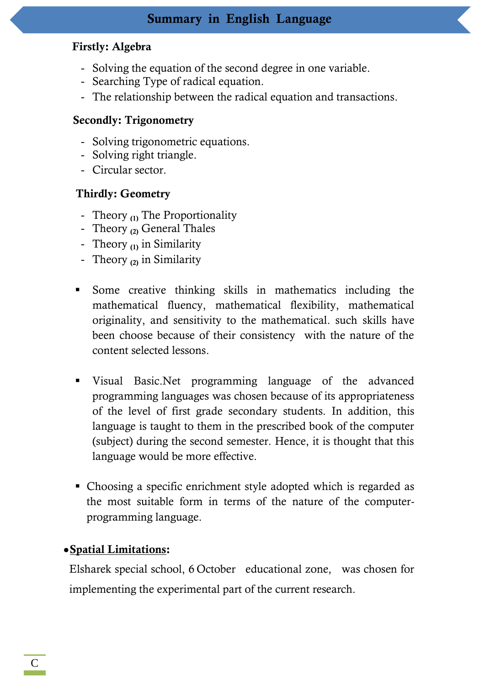## **Firstly: Algebra**

- Solving the equation of the second degree in one variable.
- Searching Type of radical equation.
- The relationship between the radical equation and transactions.

## **Secondly: Trigonometry**

- Solving trigonometric equations.
- Solving right triangle.
- Circular sector.

## **Thirdly: Geometry**

- Theory **(1)** The Proportionality
- Theory **(2)** General Thales
- Theory **(1)** in Similarity
- Theory **(2)** in Similarity
- Some creative thinking skills in mathematics including the mathematical fluency, mathematical flexibility, mathematical originality, and sensitivity to the mathematical. such skills have been choose because of their consistency with the nature of the content selected lessons.
- Visual Basic.Net programming language of the advanced programming languages was chosen because of its appropriateness of the level of first grade secondary students. In addition, this language is taught to them in the prescribed book of the computer (subject) during the second semester. Hence, it is thought that this language would be more effective.
- Choosing a specific enrichment style adopted which is regarded as the most suitable form in terms of the nature of the computerprogramming language.

## **Spatial Limitations:**

Elsharek special school, 6 October educational zone, was chosen for implementing the experimental part of the current research.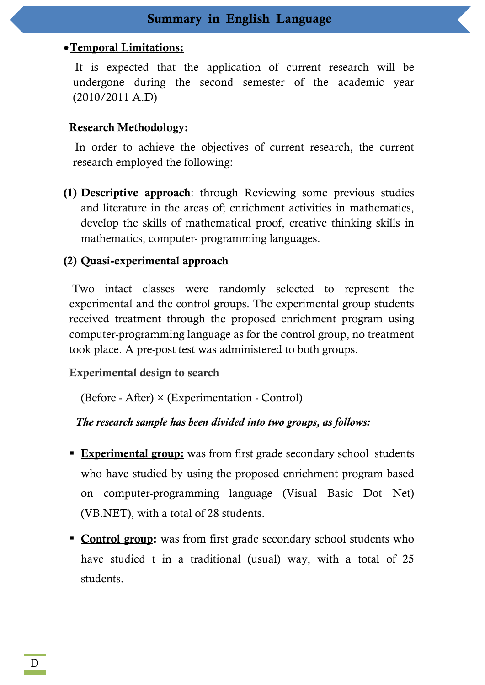#### **Temporal Limitations:**

It is expected that the application of current research will be undergone during the second semester of the academic year (2010/2011 A.D)

#### **Research Methodology:**

In order to achieve the objectives of current research, the current research employed the following:

**(1) Descriptive approach**: through Reviewing some previous studies and literature in the areas of; enrichment activities in mathematics, develop the skills of mathematical proof, creative thinking skills in mathematics, computer- programming languages.

#### **(2) Quasi-experimental approach**

Two intact classes were randomly selected to represent the experimental and the control groups. The experimental group students received treatment through the proposed enrichment program using computer-programming language as for the control group, no treatment took place. A pre-post test was administered to both groups.

**Experimental design to search**

(Before - After) × (Experimentation - Control)

*The research sample has been divided into two groups, as follows:* 

- **Experimental group:** was from first grade secondary school students who have studied by using the proposed enrichment program based on computer-programming language (Visual Basic Dot Net) (VB.NET), with a total of 28 students.
- **Control group:** was from first grade secondary school students who have studied t in a traditional (usual) way, with a total of 25 students.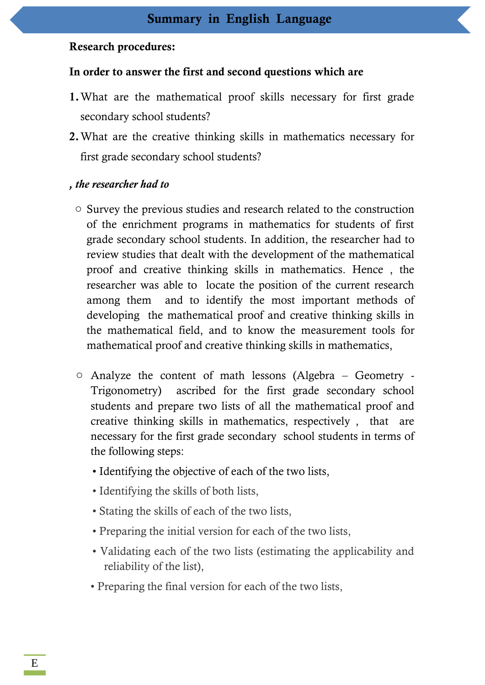## **Research procedures:**

## **In order to answer the first and second questions which are**

- **1.**What are the mathematical proof skills necessary for first grade secondary school students?
- **2.**What are the creative thinking skills in mathematics necessary for first grade secondary school students?

## *, the researcher had to*

- o Survey the previous studies and research related to the construction of the enrichment programs in mathematics for students of first grade secondary school students. In addition, the researcher had to review studies that dealt with the development of the mathematical proof and creative thinking skills in mathematics. Hence , the researcher was able to locate the position of the current research among them and to identify the most important methods of developing the mathematical proof and creative thinking skills in the mathematical field, and to know the measurement tools for mathematical proof and creative thinking skills in mathematics,
- o Analyze the content of math lessons (Algebra Geometry Trigonometry) ascribed for the first grade secondary school students and prepare two lists of all the mathematical proof and creative thinking skills in mathematics, respectively , that are necessary for the first grade secondary school students in terms of the following steps:
	- Identifying the objective of each of the two lists,
	- Identifying the skills of both lists,
	- Stating the skills of each of the two lists,
	- Preparing the initial version for each of the two lists,
	- Validating each of the two lists (estimating the applicability and reliability of the list),
	- Preparing the final version for each of the two lists,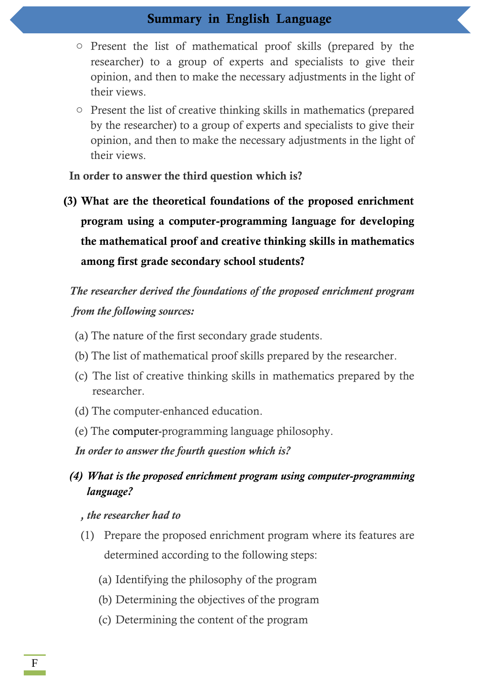- o Present the list of mathematical proof skills (prepared by the researcher) to a group of experts and specialists to give their opinion, and then to make the necessary adjustments in the light of their views.
- o Present the list of creative thinking skills in mathematics (prepared by the researcher) to a group of experts and specialists to give their opinion, and then to make the necessary adjustments in the light of their views.

**In order to answer the third question which is?**

**(3) What are the theoretical foundations of the proposed enrichment program using a computer-programming language for developing the mathematical proof and creative thinking skills in mathematics among first grade secondary school students?**

# *The researcher derived the foundations of the proposed enrichment program from the following sources:*

- (a) The nature of the first secondary grade students.
- (b) The list of mathematical proof skills prepared by the researcher.
- (c) The list of creative thinking skills in mathematics prepared by the researcher.
- (d) The computer-enhanced education.
- (e) The computer-programming language philosophy.

*In order to answer the fourth question which is?*

## *(4) What is the proposed enrichment program using computer-programming language?*

### *, the researcher had to*

- (1) Prepare the proposed enrichment program where its features are determined according to the following steps:
	- (a) Identifying the philosophy of the program
	- (b) Determining the objectives of the program
	- (c) Determining the content of the program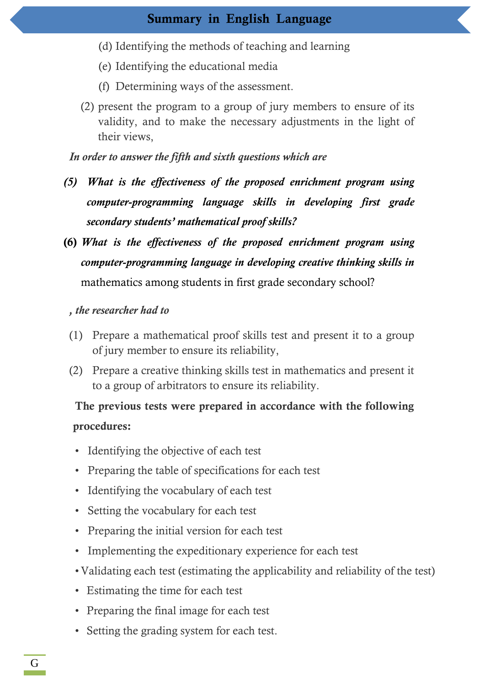- (d) Identifying the methods of teaching and learning
- (e) Identifying the educational media
- (f) Determining ways of the assessment.
- (2) present the program to a group of jury members to ensure of its validity, and to make the necessary adjustments in the light of their views,

## *In order to answer the fifth and sixth questions which are*

- *(5) What is the effectiveness of the proposed enrichment program using computer-programming language skills in developing first grade secondary students' mathematical proof skills?*
- **(6)** *What is the effectiveness of the proposed enrichment program using computer-programming language in developing creative thinking skills in* mathematics among students in first grade secondary school?

## *, the researcher had to*

- (1) Prepare a mathematical proof skills test and present it to a group of jury member to ensure its reliability,
- (2) Prepare a creative thinking skills test in mathematics and present it to a group of arbitrators to ensure its reliability.

# **The previous tests were prepared in accordance with the following procedures:**

- Identifying the objective of each test
- Preparing the table of specifications for each test
- Identifying the vocabulary of each test
- Setting the vocabulary for each test
- Preparing the initial version for each test
- Implementing the expeditionary experience for each test
- •Validating each test (estimating the applicability and reliability of the test)
- Estimating the time for each test
- Preparing the final image for each test
- Setting the grading system for each test.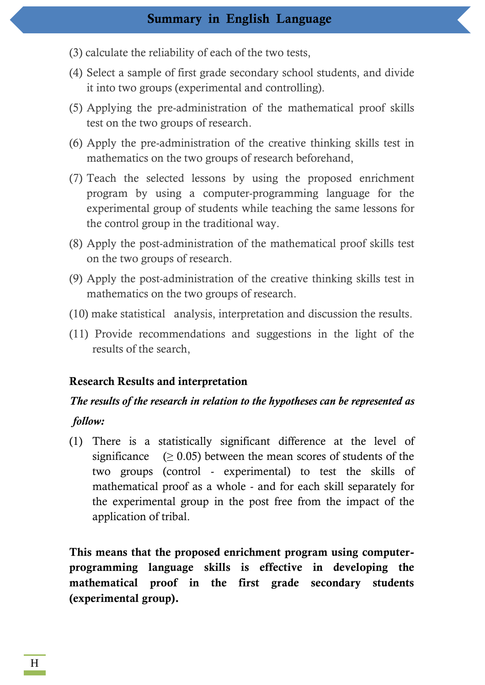- (3) calculate the reliability of each of the two tests,
- (4) Select a sample of first grade secondary school students, and divide it into two groups (experimental and controlling).
- (5) Applying the pre-administration of the mathematical proof skills test on the two groups of research.
- (6) Apply the pre-administration of the creative thinking skills test in mathematics on the two groups of research beforehand,
- (7) Teach the selected lessons by using the proposed enrichment program by using a computer-programming language for the experimental group of students while teaching the same lessons for the control group in the traditional way.
- (8) Apply the post-administration of the mathematical proof skills test on the two groups of research.
- (9) Apply the post-administration of the creative thinking skills test in mathematics on the two groups of research.
- (10) make statistical analysis, interpretation and discussion the results.
- (11) Provide recommendations and suggestions in the light of the results of the search,

#### **Research Results and interpretation**

# *The results of the research in relation to the hypotheses can be represented as follow:*

(1) There is a statistically significant difference at the level of significance  $(≥ 0.05)$  between the mean scores of students of the two groups (control - experimental) to test the skills of mathematical proof as a whole - and for each skill separately for the experimental group in the post free from the impact of the application of tribal.

**This means that the proposed enrichment program using computerprogramming language skills is effective in developing the mathematical proof in the first grade secondary students (experimental group).**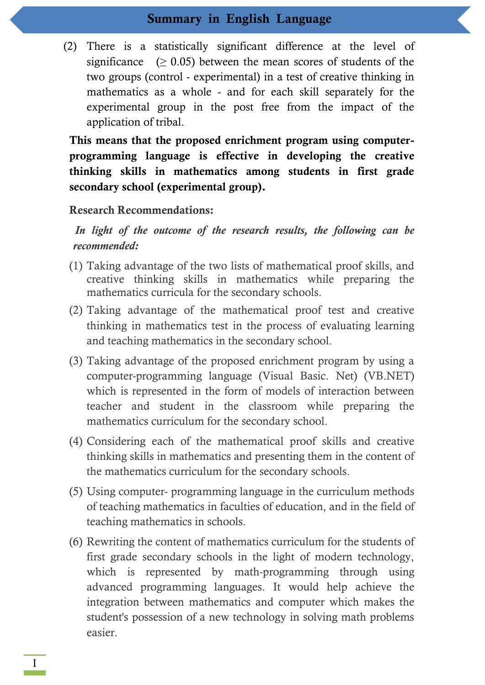(2) There is a statistically significant difference at the level of significance  $(> 0.05)$  between the mean scores of students of the two groups (control - experimental) in a test of creative thinking in mathematics as a whole - and for each skill separately for the experimental group in the post free from the impact of the application of tribal.

**This means that the proposed enrichment program using computerprogramming language is effective in developing the creative thinking skills in mathematics among students in first grade secondary school (experimental group).**

#### **Research Recommendations:**

*In light of the outcome of the research results, the following can be recommended:*

- (1) Taking advantage of the two lists of mathematical proof skills, and creative thinking skills in mathematics while preparing the mathematics curricula for the secondary schools.
- (2) Taking advantage of the mathematical proof test and creative thinking in mathematics test in the process of evaluating learning and teaching mathematics in the secondary school.
- (3) Taking advantage of the proposed enrichment program by using a computer-programming language (Visual Basic. Net) (VB.NET) which is represented in the form of models of interaction between teacher and student in the classroom while preparing the mathematics curriculum for the secondary school.
- (4) Considering each of the mathematical proof skills and creative thinking skills in mathematics and presenting them in the content of the mathematics curriculum for the secondary schools.
- (5) Using computer- programming language in the curriculum methods of teaching mathematics in faculties of education, and in the field of teaching mathematics in schools.
- (6) Rewriting the content of mathematics curriculum for the students of first grade secondary schools in the light of modern technology, which is represented by math-programming through using advanced programming languages. It would help achieve the integration between mathematics and computer which makes the student's possession of a new technology in solving math problems easier.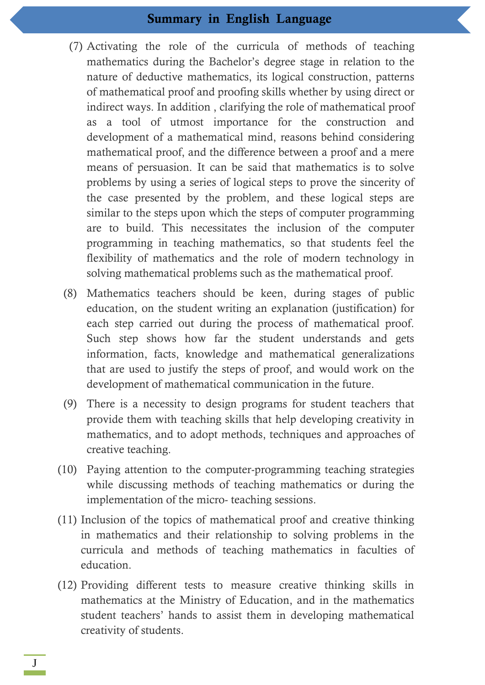- (7) Activating the role of the curricula of methods of teaching mathematics during the Bachelor's degree stage in relation to the nature of deductive mathematics, its logical construction, patterns of mathematical proof and proofing skills whether by using direct or indirect ways. In addition , clarifying the role of mathematical proof as a tool of utmost importance for the construction and development of a mathematical mind, reasons behind considering mathematical proof, and the difference between a proof and a mere means of persuasion. It can be said that mathematics is to solve problems by using a series of logical steps to prove the sincerity of the case presented by the problem, and these logical steps are similar to the steps upon which the steps of computer programming are to build. This necessitates the inclusion of the computer programming in teaching mathematics, so that students feel the flexibility of mathematics and the role of modern technology in solving mathematical problems such as the mathematical proof.
- (8) Mathematics teachers should be keen, during stages of public education, on the student writing an explanation (justification) for each step carried out during the process of mathematical proof. Such step shows how far the student understands and gets information, facts, knowledge and mathematical generalizations that are used to justify the steps of proof, and would work on the development of mathematical communication in the future.
- (9) There is a necessity to design programs for student teachers that provide them with teaching skills that help developing creativity in mathematics, and to adopt methods, techniques and approaches of creative teaching.
- (10) Paying attention to the computer-programming teaching strategies while discussing methods of teaching mathematics or during the implementation of the micro- teaching sessions.
- (11) Inclusion of the topics of mathematical proof and creative thinking in mathematics and their relationship to solving problems in the curricula and methods of teaching mathematics in faculties of education.
- (12) Providing different tests to measure creative thinking skills in mathematics at the Ministry of Education, and in the mathematics student teachers' hands to assist them in developing mathematical creativity of students.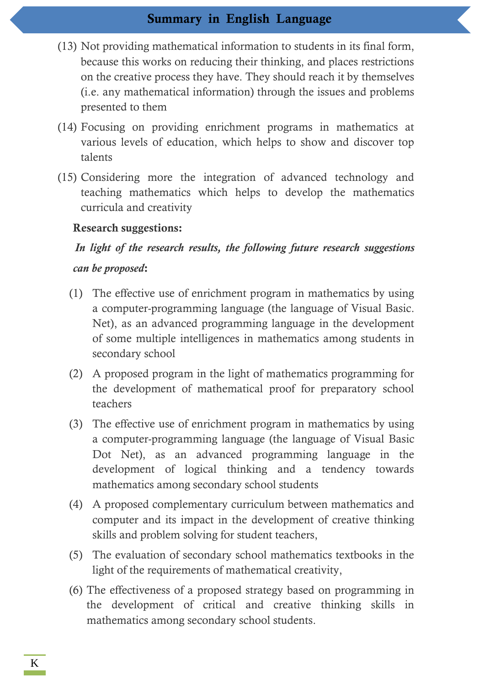- (13) Not providing mathematical information to students in its final form, because this works on reducing their thinking, and places restrictions on the creative process they have. They should reach it by themselves (i.e. any mathematical information) through the issues and problems presented to them
- (14) Focusing on providing enrichment programs in mathematics at various levels of education, which helps to show and discover top talents
- (15) Considering more the integration of advanced technology and teaching mathematics which helps to develop the mathematics curricula and creativity

### **Research suggestions:**

# *In light of the research results, the following future research suggestions can be proposed***:**

- (1) The effective use of enrichment program in mathematics by using a computer-programming language (the language of Visual Basic. Net), as an advanced programming language in the development of some multiple intelligences in mathematics among students in secondary school
- (2) A proposed program in the light of mathematics programming for the development of mathematical proof for preparatory school teachers
- (3) The effective use of enrichment program in mathematics by using a computer-programming language (the language of Visual Basic Dot Net), as an advanced programming language in the development of logical thinking and a tendency towards mathematics among secondary school students
- (4) A proposed complementary curriculum between mathematics and computer and its impact in the development of creative thinking skills and problem solving for student teachers,
- (5) The evaluation of secondary school mathematics textbooks in the light of the requirements of mathematical creativity,
- (6) The effectiveness of a proposed strategy based on programming in the development of critical and creative thinking skills in mathematics among secondary school students.